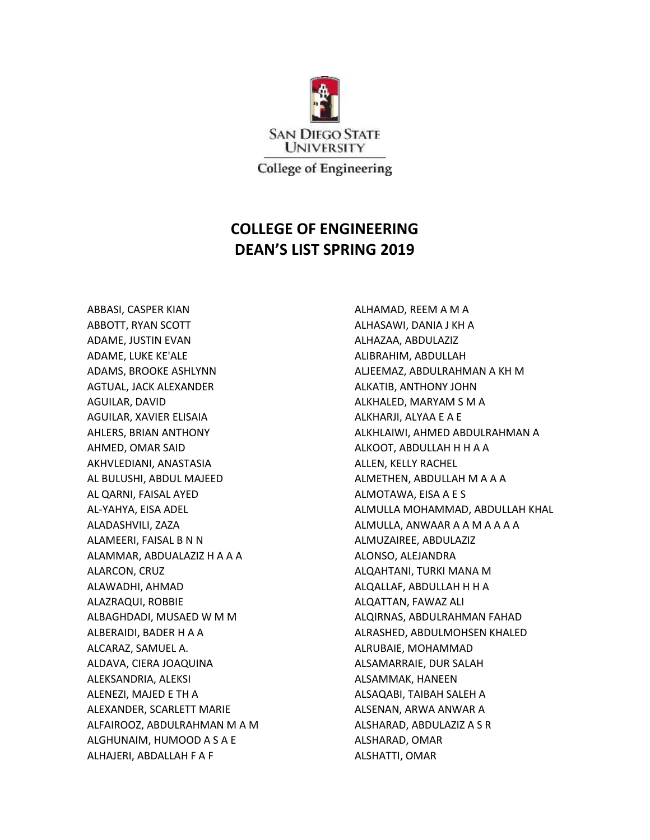

## **COLLEGE OF ENGINEERING DEAN'S LIST SPRING 2019**

ABBASI, CASPER KIAN ABBOTT, RYAN SCOTT ADAME, JUSTIN EVAN ADAME, LUKE KE'ALE ADAMS, BROOKE ASHLYNN AGTUAL, JACK ALEXANDER AGUILAR, DAVID AGUILAR, XAVIER ELISAIA AHLERS, BRIAN ANTHONY AHMED, OMAR SAID AKHVLEDIANI, ANASTASIA AL BULUSHI, ABDUL MAJEED AL QARNI, FAISAL AYED AL-YAHYA, EISA ADEL ALADASHVILI, ZAZA ALAMEERI, FAISAL B N N ALAMMAR, ABDUALAZIZ H A A A ALARCON, CRUZ ALAWADHI, AHMAD ALAZRAQUI, ROBBIE ALBAGHDADI, MUSAED W M M ALBERAIDI, BADER H A A ALCARAZ, SAMUEL A. ALDAVA, CIERA JOAQUINA ALEKSANDRIA, ALEKSI ALENEZI, MAJED E TH A ALEXANDER, SCARLETT MARIE ALFAIROOZ, ABDULRAHMAN M A M ALGHUNAIM, HUMOOD A S A E ALHAJERI, ABDALLAH F A F

ALHAMAD, REEM A M A ALHASAWI, DANIA J KH A ALHAZAA, ABDULAZIZ ALIBRAHIM, ABDULLAH ALJEEMAZ, ABDULRAHMAN A KH M ALKATIB, ANTHONY JOHN ALKHALED, MARYAM S M A ALKHARJI, ALYAA E A E ALKHLAIWI, AHMED ABDULRAHMAN A ALKOOT, ABDULLAH H H A A ALLEN, KELLY RACHEL ALMETHEN, ABDULLAH M A A A ALMOTAWA, EISA A E S ALMULLA MOHAMMAD, ABDULLAH KHAL ALMULLA, ANWAAR A A M A A A A ALMUZAIREE, ABDULAZIZ ALONSO, ALEJANDRA ALQAHTANI, TURKI MANA M ALQALLAF, ABDULLAH H H A ALQATTAN, FAWAZ ALI ALQIRNAS, ABDULRAHMAN FAHAD ALRASHED, ABDULMOHSEN KHALED ALRUBAIE, MOHAMMAD ALSAMARRAIE, DUR SALAH ALSAMMAK, HANEEN ALSAQABI, TAIBAH SALEH A ALSENAN, ARWA ANWAR A ALSHARAD, ABDULAZIZ A S R ALSHARAD, OMAR ALSHATTI, OMAR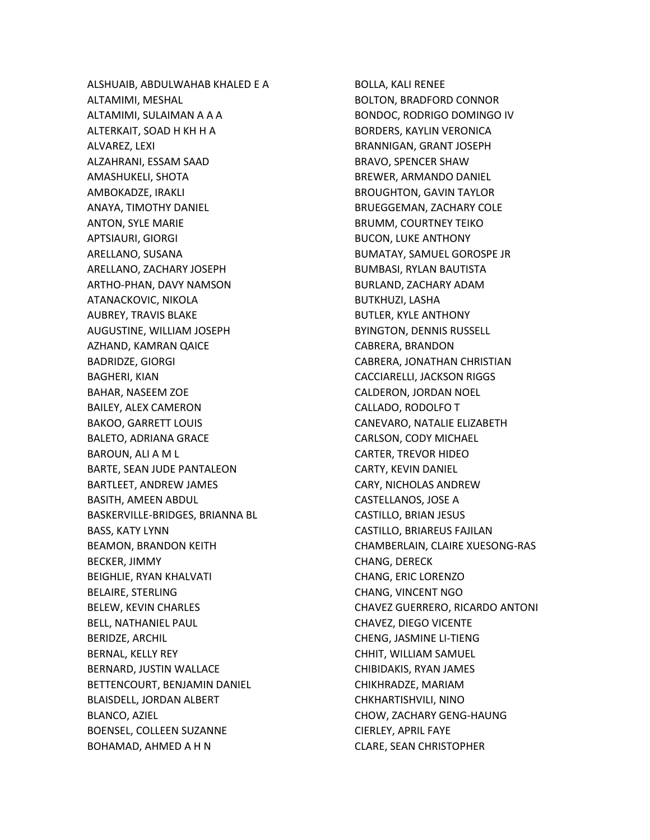ALSHUAIB, ABDULWAHAB KHALED E A ALTAMIMI, MESHAL ALTAMIMI, SULAIMAN A A A ALTERKAIT, SOAD H KH H A ALVAREZ, LEXI ALZAHRANI, ESSAM SAAD AMASHUKELI, SHOTA AMBOKADZE, IRAKLI ANAYA, TIMOTHY DANIEL ANTON, SYLE MARIE APTSIAURI, GIORGI ARELLANO, SUSANA ARELLANO, ZACHARY JOSEPH ARTHO-PHAN, DAVY NAMSON ATANACKOVIC, NIKOLA AUBREY, TRAVIS BLAKE AUGUSTINE, WILLIAM JOSEPH AZHAND, KAMRAN QAICE BADRIDZE, GIORGI BAGHERI, KIAN BAHAR, NASEEM ZOE BAILEY, ALEX CAMERON BAKOO, GARRETT LOUIS BALETO, ADRIANA GRACE BAROUN, ALI A M L BARTE, SEAN JUDE PANTALEON BARTLEET, ANDREW JAMES BASITH, AMEEN ABDUL BASKERVILLE-BRIDGES, BRIANNA BL BASS, KATY LYNN BEAMON, BRANDON KEITH BECKER, JIMMY BEIGHLIE, RYAN KHALVATI BELAIRE, STERLING BELEW, KEVIN CHARLES BELL, NATHANIEL PAUL BERIDZE, ARCHIL BERNAL, KELLY REY BERNARD, JUSTIN WALLACE BETTENCOURT, BENJAMIN DANIEL BLAISDELL, JORDAN ALBERT BLANCO, AZIEL BOENSEL, COLLEEN SUZANNE BOHAMAD, AHMED A H N

BOLLA, KALI RENEE BOLTON, BRADFORD CONNOR BONDOC, RODRIGO DOMINGO IV BORDERS, KAYLIN VERONICA BRANNIGAN, GRANT JOSEPH BRAVO, SPENCER SHAW BREWER, ARMANDO DANIEL BROUGHTON, GAVIN TAYLOR BRUEGGEMAN, ZACHARY COLE BRUMM, COURTNEY TEIKO BUCON, LUKE ANTHONY BUMATAY, SAMUEL GOROSPE JR BUMBASI, RYLAN BAUTISTA BURLAND, ZACHARY ADAM BUTKHUZI, LASHA BUTLER, KYLE ANTHONY BYINGTON, DENNIS RUSSELL CABRERA, BRANDON CABRERA, JONATHAN CHRISTIAN CACCIARELLI, JACKSON RIGGS CALDERON, JORDAN NOEL CALLADO, RODOLFO T CANEVARO, NATALIE ELIZABETH CARLSON, CODY MICHAEL CARTER, TREVOR HIDEO CARTY, KEVIN DANIEL CARY, NICHOLAS ANDREW CASTELLANOS, JOSE A CASTILLO, BRIAN JESUS CASTILLO, BRIAREUS FAJILAN CHAMBERLAIN, CLAIRE XUESONG-RAS CHANG, DERECK CHANG, ERIC LORENZO CHANG, VINCENT NGO CHAVEZ GUERRERO, RICARDO ANTONI CHAVEZ, DIEGO VICENTE CHENG, JASMINE LI-TIENG CHHIT, WILLIAM SAMUEL CHIBIDAKIS, RYAN JAMES CHIKHRADZE, MARIAM CHKHARTISHVILI, NINO CHOW, ZACHARY GENG-HAUNG CIERLEY, APRIL FAYE CLARE, SEAN CHRISTOPHER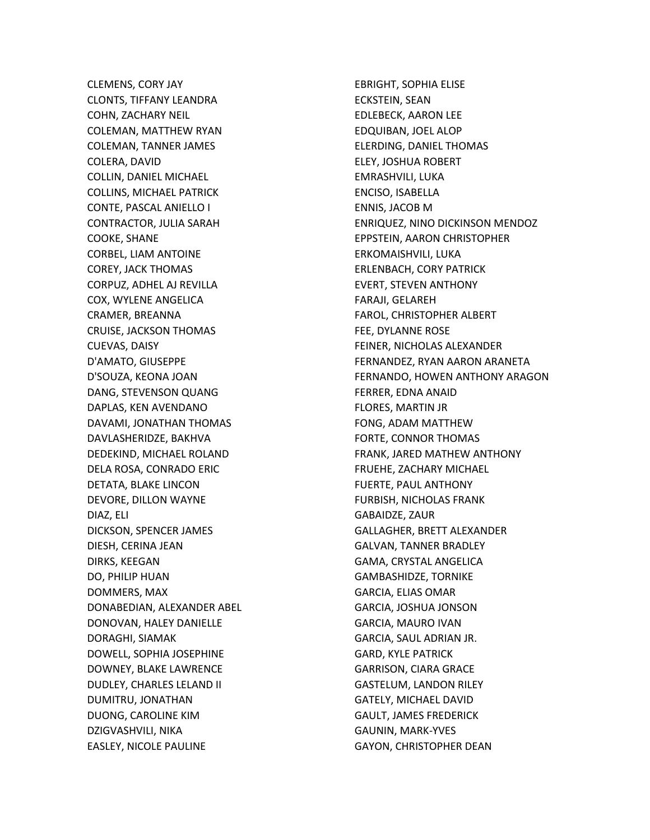CLEMENS, CORY JAY CLONTS, TIFFANY LEANDRA COHN, ZACHARY NEIL COLEMAN, MATTHEW RYAN COLEMAN, TANNER JAMES COLERA, DAVID COLLIN, DANIEL MICHAEL COLLINS, MICHAEL PATRICK CONTE, PASCAL ANIELLO I CONTRACTOR, JULIA SARAH COOKE, SHANE CORBEL, LIAM ANTOINE COREY, JACK THOMAS CORPUZ, ADHEL AJ REVILLA COX, WYLENE ANGELICA CRAMER, BREANNA CRUISE, JACKSON THOMAS CUEVAS, DAISY D'AMATO, GIUSEPPE D'SOUZA, KEONA JOAN DANG, STEVENSON QUANG DAPLAS, KEN AVENDANO DAVAMI, JONATHAN THOMAS DAVLASHERIDZE, BAKHVA DEDEKIND, MICHAEL ROLAND DELA ROSA, CONRADO ERIC DETATA, BLAKE LINCON DEVORE, DILLON WAYNE DIAZ, ELI DICKSON, SPENCER JAMES DIESH, CERINA JEAN DIRKS, KEEGAN DO, PHILIP HUAN DOMMERS, MAX DONABEDIAN, ALEXANDER ABEL DONOVAN, HALEY DANIELLE DORAGHI, SIAMAK DOWELL, SOPHIA JOSEPHINE DOWNEY, BLAKE LAWRENCE DUDLEY, CHARLES LELAND II DUMITRU, JONATHAN DUONG, CAROLINE KIM DZIGVASHVILI, NIKA EASLEY, NICOLE PAULINE

EBRIGHT, SOPHIA ELISE ECKSTEIN, SEAN EDLEBECK, AARON LEE EDQUIBAN, JOEL ALOP ELERDING, DANIEL THOMAS ELEY, JOSHUA ROBERT EMRASHVILI, LUKA ENCISO, ISABELLA ENNIS, JACOB M ENRIQUEZ, NINO DICKINSON MENDOZ EPPSTEIN, AARON CHRISTOPHER ERKOMAISHVILI, LUKA ERLENBACH, CORY PATRICK EVERT, STEVEN ANTHONY FARAJI, GELAREH FAROL, CHRISTOPHER ALBERT FEE, DYLANNE ROSE FEINER, NICHOLAS ALEXANDER FERNANDEZ, RYAN AARON ARANETA FERNANDO, HOWEN ANTHONY ARAGON FERRER, EDNA ANAID FLORES, MARTIN JR FONG, ADAM MATTHEW FORTE, CONNOR THOMAS FRANK, JARED MATHEW ANTHONY FRUEHE, ZACHARY MICHAEL FUERTE, PAUL ANTHONY FURBISH, NICHOLAS FRANK GABAIDZE, ZAUR GALLAGHER, BRETT ALEXANDER GALVAN, TANNER BRADLEY GAMA, CRYSTAL ANGELICA GAMBASHIDZE, TORNIKE GARCIA, ELIAS OMAR GARCIA, JOSHUA JONSON GARCIA, MAURO IVAN GARCIA, SAUL ADRIAN JR. GARD, KYLE PATRICK GARRISON, CIARA GRACE GASTELUM, LANDON RILEY GATELY, MICHAEL DAVID GAULT, JAMES FREDERICK GAUNIN, MARK-YVES GAYON, CHRISTOPHER DEAN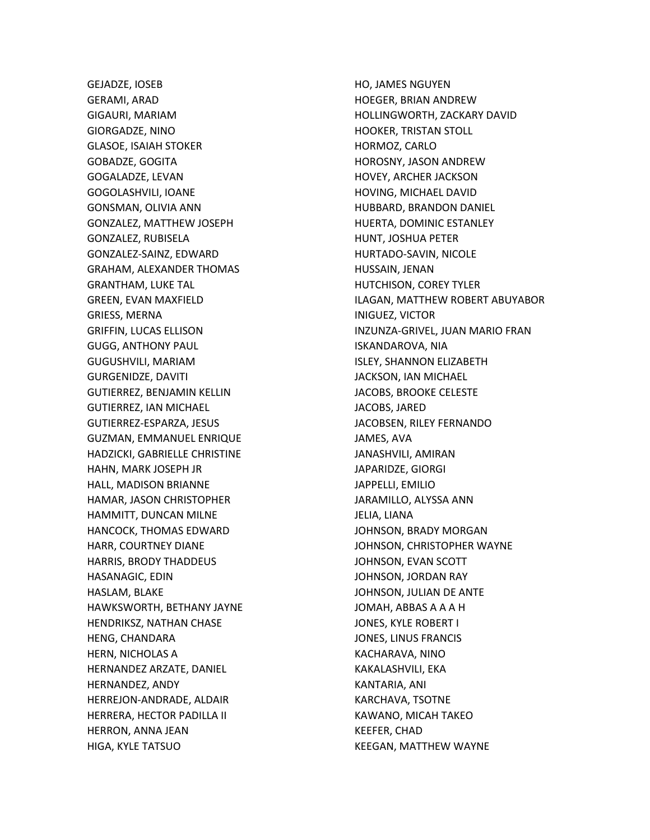GEJADZE, IOSEB GERAMI, ARAD GIGAURI, MARIAM GIORGADZE, NINO GLASOE, ISAIAH STOKER GOBADZE, GOGITA GOGALADZE, LEVAN GOGOLASHVILI, IOANE GONSMAN, OLIVIA ANN GONZALEZ, MATTHEW JOSEPH GONZALEZ, RUBISELA GONZALEZ-SAINZ, EDWARD GRAHAM, ALEXANDER THOMAS GRANTHAM, LUKE TAL GREEN, EVAN MAXFIELD GRIESS, MERNA GRIFFIN, LUCAS ELLISON GUGG, ANTHONY PAUL GUGUSHVILI, MARIAM GURGENIDZE, DAVITI GUTIERREZ, BENJAMIN KELLIN GUTIERREZ, IAN MICHAEL GUTIERREZ-ESPARZA, JESUS GUZMAN, EMMANUEL ENRIQUE HADZICKI, GABRIELLE CHRISTINE HAHN, MARK JOSEPH JR HALL, MADISON BRIANNE HAMAR, JASON CHRISTOPHER HAMMITT, DUNCAN MILNE HANCOCK, THOMAS EDWARD HARR, COURTNEY DIANE HARRIS, BRODY THADDEUS HASANAGIC, EDIN HASLAM, BLAKE HAWKSWORTH, BETHANY JAYNE HENDRIKSZ, NATHAN CHASE HENG, CHANDARA HERN, NICHOLAS A HERNANDEZ ARZATE, DANIEL HERNANDEZ, ANDY HERREJON-ANDRADE, ALDAIR HERRERA, HECTOR PADILLA II HERRON, ANNA JEAN HIGA, KYLE TATSUO

HO, JAMES NGUYEN HOEGER, BRIAN ANDREW HOLLINGWORTH, ZACKARY DAVID HOOKER, TRISTAN STOLL HORMOZ, CARLO HOROSNY, JASON ANDREW HOVEY, ARCHER JACKSON HOVING, MICHAEL DAVID HUBBARD, BRANDON DANIEL HUERTA, DOMINIC ESTANLEY HUNT, JOSHUA PETER HURTADO-SAVIN, NICOLE HUSSAIN, JENAN HUTCHISON, COREY TYLER ILAGAN, MATTHEW ROBERT ABUYABOR INIGUEZ, VICTOR INZUNZA-GRIVEL, JUAN MARIO FRAN ISKANDAROVA, NIA ISLEY, SHANNON ELIZABETH JACKSON, IAN MICHAEL JACOBS, BROOKE CELESTE JACOBS, JARED JACOBSEN, RILEY FERNANDO JAMES, AVA JANASHVILI, AMIRAN JAPARIDZE, GIORGI JAPPELLI, EMILIO JARAMILLO, ALYSSA ANN JELIA, LIANA JOHNSON, BRADY MORGAN JOHNSON, CHRISTOPHER WAYNE JOHNSON, EVAN SCOTT JOHNSON, JORDAN RAY JOHNSON, JULIAN DE ANTE JOMAH, ABBAS A A A H JONES, KYLE ROBERT I JONES, LINUS FRANCIS KACHARAVA, NINO KAKALASHVILI, EKA KANTARIA, ANI KARCHAVA, TSOTNE KAWANO, MICAH TAKEO KEEFER, CHAD KEEGAN, MATTHEW WAYNE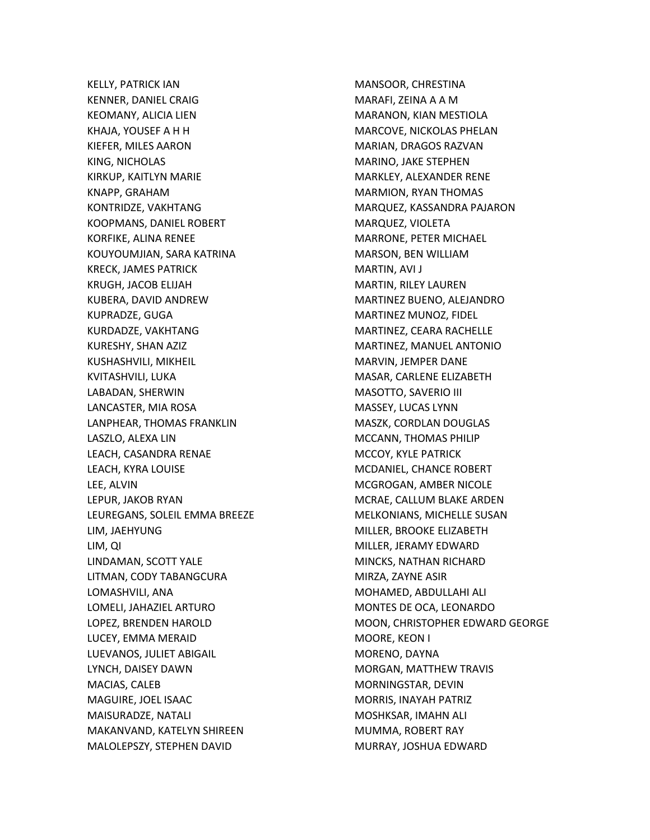KELLY, PATRICK IAN KENNER, DANIEL CRAIG KEOMANY, ALICIA LIEN KHAJA, YOUSEF A H H KIEFER, MILES AARON KING, NICHOLAS KIRKUP, KAITLYN MARIE KNAPP, GRAHAM KONTRIDZE, VAKHTANG KOOPMANS, DANIEL ROBERT KORFIKE, ALINA RENEE KOUYOUMJIAN, SARA KATRINA KRECK, JAMES PATRICK KRUGH, JACOB ELIJAH KUBERA, DAVID ANDREW KUPRADZE, GUGA KURDADZE, VAKHTANG KURESHY, SHAN AZIZ KUSHASHVILI, MIKHEIL KVITASHVILI, LUKA LABADAN, SHERWIN LANCASTER, MIA ROSA LANPHEAR, THOMAS FRANKLIN LASZLO, ALEXA LIN LEACH, CASANDRA RENAE LEACH, KYRA LOUISE LEE, ALVIN LEPUR, JAKOB RYAN LEUREGANS, SOLEIL EMMA BREEZE LIM, JAEHYUNG LIM, QI LINDAMAN, SCOTT YALE LITMAN, CODY TABANGCURA LOMASHVILI, ANA LOMELI, JAHAZIEL ARTURO LOPEZ, BRENDEN HAROLD LUCEY, EMMA MERAID LUEVANOS, JULIET ABIGAIL LYNCH, DAISEY DAWN MACIAS, CALEB MAGUIRE, JOEL ISAAC MAISURADZE, NATALI MAKANVAND, KATELYN SHIREEN MALOLEPSZY, STEPHEN DAVID

MANSOOR, CHRESTINA MARAFI, ZEINA A A M MARANON, KIAN MESTIOLA MARCOVE, NICKOLAS PHELAN MARIAN, DRAGOS RAZVAN MARINO, JAKE STEPHEN MARKLEY, ALEXANDER RENE MARMION, RYAN THOMAS MARQUEZ, KASSANDRA PAJARON MARQUEZ, VIOLETA MARRONE, PETER MICHAEL MARSON, BEN WILLIAM MARTIN, AVI J MARTIN, RILEY LAUREN MARTINEZ BUENO, ALEJANDRO MARTINEZ MUNOZ, FIDEL MARTINEZ, CEARA RACHELLE MARTINEZ, MANUEL ANTONIO MARVIN, JEMPER DANE MASAR, CARLENE ELIZABETH MASOTTO, SAVERIO III MASSEY, LUCAS LYNN MASZK, CORDLAN DOUGLAS MCCANN, THOMAS PHILIP MCCOY, KYLE PATRICK MCDANIEL, CHANCE ROBERT MCGROGAN, AMBER NICOLE MCRAE, CALLUM BLAKE ARDEN MELKONIANS, MICHELLE SUSAN MILLER, BROOKE ELIZABETH MILLER, JERAMY EDWARD MINCKS, NATHAN RICHARD MIRZA, ZAYNE ASIR MOHAMED, ABDULLAHI ALI MONTES DE OCA, LEONARDO MOON, CHRISTOPHER EDWARD GEORGE MOORE, KEON I MORENO, DAYNA MORGAN, MATTHEW TRAVIS MORNINGSTAR, DEVIN MORRIS, INAYAH PATRIZ MOSHKSAR, IMAHN ALI MUMMA, ROBERT RAY MURRAY, JOSHUA EDWARD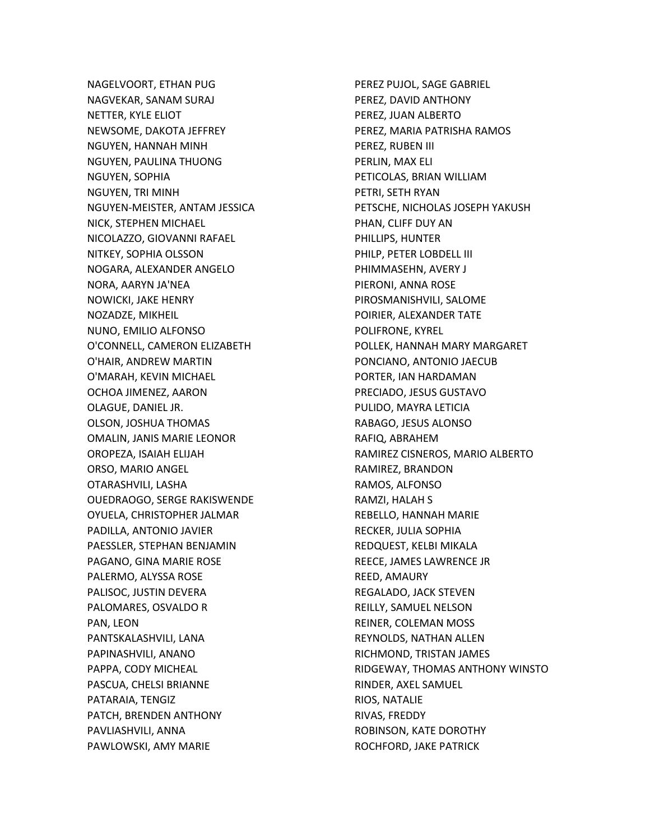NAGELVOORT, ETHAN PUG NAGVEKAR, SANAM SURAJ NETTER, KYLE ELIOT NEWSOME, DAKOTA JEFFREY NGUYEN, HANNAH MINH NGUYEN, PAULINA THUONG NGUYEN, SOPHIA NGUYEN, TRI MINH NGUYEN-MEISTER, ANTAM JESSICA NICK, STEPHEN MICHAEL NICOLAZZO, GIOVANNI RAFAEL NITKEY, SOPHIA OLSSON NOGARA, ALEXANDER ANGELO NORA, AARYN JA'NEA NOWICKI, JAKE HENRY NOZADZE, MIKHEIL NUNO, EMILIO ALFONSO O'CONNELL, CAMERON ELIZABETH O'HAIR, ANDREW MARTIN O'MARAH, KEVIN MICHAEL OCHOA JIMENEZ, AARON OLAGUE, DANIEL JR. OLSON, JOSHUA THOMAS OMALIN, JANIS MARIE LEONOR OROPEZA, ISAIAH ELIJAH ORSO, MARIO ANGEL OTARASHVILI, LASHA OUEDRAOGO, SERGE RAKISWENDE OYUELA, CHRISTOPHER JALMAR PADILLA, ANTONIO JAVIER PAESSLER, STEPHAN BENJAMIN PAGANO, GINA MARIE ROSE PALERMO, ALYSSA ROSE PALISOC, JUSTIN DEVERA PALOMARES, OSVALDO R PAN, LEON PANTSKALASHVILI, LANA PAPINASHVILI, ANANO PAPPA, CODY MICHEAL PASCUA, CHELSI BRIANNE PATARAIA, TENGIZ PATCH, BRENDEN ANTHONY PAVLIASHVILI, ANNA PAWLOWSKI, AMY MARIE

PEREZ PUJOL, SAGE GABRIEL PEREZ, DAVID ANTHONY PEREZ, JUAN ALBERTO PEREZ, MARIA PATRISHA RAMOS PEREZ, RUBEN III PERLIN, MAX ELI PETICOLAS, BRIAN WILLIAM PETRI, SETH RYAN PETSCHE, NICHOLAS JOSEPH YAKUSH PHAN, CLIFF DUY AN PHILLIPS, HUNTER PHILP, PETER LOBDELL III PHIMMASEHN, AVERY J PIERONI, ANNA ROSE PIROSMANISHVILI, SALOME POIRIER, ALEXANDER TATE POLIFRONE, KYREL POLLEK, HANNAH MARY MARGARET PONCIANO, ANTONIO JAECUB PORTER, IAN HARDAMAN PRECIADO, JESUS GUSTAVO PULIDO, MAYRA LETICIA RABAGO, JESUS ALONSO RAFIQ, ABRAHEM RAMIREZ CISNEROS, MARIO ALBERTO RAMIREZ, BRANDON RAMOS, ALFONSO RAMZI, HALAH S REBELLO, HANNAH MARIE RECKER, JULIA SOPHIA REDQUEST, KELBI MIKALA REECE, JAMES LAWRENCE JR REED, AMAURY REGALADO, JACK STEVEN REILLY, SAMUEL NELSON REINER, COLEMAN MOSS REYNOLDS, NATHAN ALLEN RICHMOND, TRISTAN JAMES RIDGEWAY, THOMAS ANTHONY WINSTO RINDER, AXEL SAMUEL RIOS, NATALIE RIVAS, FREDDY ROBINSON, KATE DOROTHY ROCHFORD, JAKE PATRICK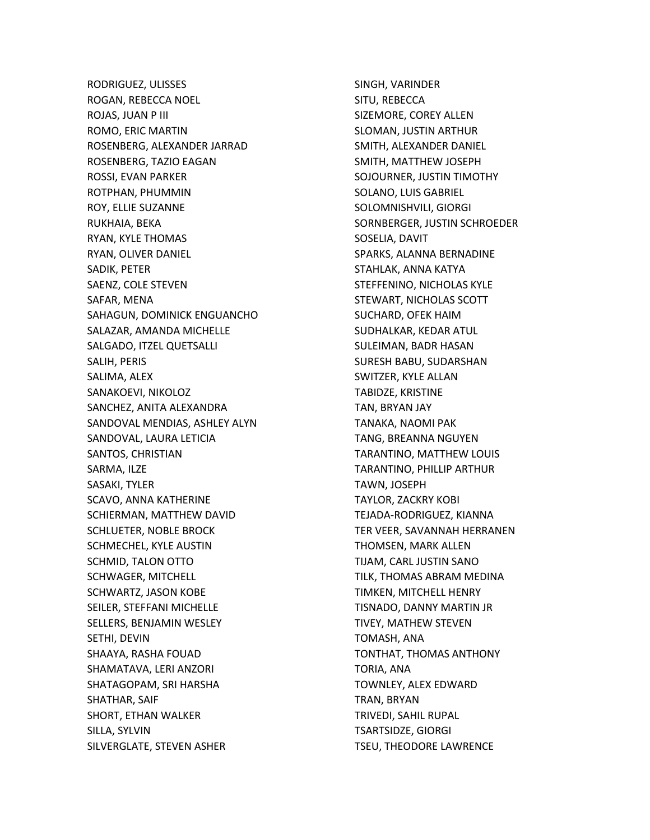RODRIGUEZ, ULISSES ROGAN, REBECCA NOEL ROJAS, JUAN P III ROMO, ERIC MARTIN ROSENBERG, ALEXANDER JARRAD ROSENBERG, TAZIO EAGAN ROSSI, EVAN PARKER ROTPHAN, PHUMMIN ROY, ELLIE SUZANNE RUKHAIA, BEKA RYAN, KYLE THOMAS RYAN, OLIVER DANIEL SADIK, PETER SAENZ, COLE STEVEN SAFAR, MENA SAHAGUN, DOMINICK ENGUANCHO SALAZAR, AMANDA MICHELLE SALGADO, ITZEL QUETSALLI SALIH, PERIS SALIMA, ALEX SANAKOEVI, NIKOLOZ SANCHEZ, ANITA ALEXANDRA SANDOVAL MENDIAS, ASHLEY ALYN SANDOVAL, LAURA LETICIA SANTOS, CHRISTIAN SARMA, ILZE SASAKI, TYLER SCAVO, ANNA KATHERINE SCHIERMAN, MATTHEW DAVID SCHLUETER, NOBLE BROCK SCHMECHEL, KYLE AUSTIN SCHMID, TALON OTTO SCHWAGER, MITCHELL SCHWARTZ, JASON KOBE SEILER, STEFFANI MICHELLE SELLERS, BENJAMIN WESLEY SETHI, DEVIN SHAAYA, RASHA FOUAD SHAMATAVA, LERI ANZORI SHATAGOPAM, SRI HARSHA SHATHAR, SAIF SHORT, ETHAN WALKER SILLA, SYLVIN SILVERGLATE, STEVEN ASHER

SINGH, VARINDER SITU, REBECCA SIZEMORE, COREY ALLEN SLOMAN, JUSTIN ARTHUR SMITH, ALEXANDER DANIEL SMITH, MATTHEW JOSEPH SOJOURNER, JUSTIN TIMOTHY SOLANO, LUIS GABRIEL SOLOMNISHVILI, GIORGI SORNBERGER, JUSTIN SCHROEDER SOSELIA, DAVIT SPARKS, ALANNA BERNADINE STAHLAK, ANNA KATYA STEFFENINO, NICHOLAS KYLE STEWART, NICHOLAS SCOTT SUCHARD, OFEK HAIM SUDHALKAR, KEDAR ATUL SULEIMAN, BADR HASAN SURESH BABU, SUDARSHAN SWITZER, KYLE ALLAN TABIDZE, KRISTINE TAN, BRYAN JAY TANAKA, NAOMI PAK TANG, BREANNA NGUYEN TARANTINO, MATTHEW LOUIS TARANTINO, PHILLIP ARTHUR TAWN, JOSEPH TAYLOR, ZACKRY KOBI TEJADA-RODRIGUEZ, KIANNA TER VEER, SAVANNAH HERRANEN THOMSEN, MARK ALLEN TIJAM, CARL JUSTIN SANO TILK, THOMAS ABRAM MEDINA TIMKEN, MITCHELL HENRY TISNADO, DANNY MARTIN JR TIVEY, MATHEW STEVEN TOMASH, ANA TONTHAT, THOMAS ANTHONY TORIA, ANA TOWNLEY, ALEX EDWARD TRAN, BRYAN TRIVEDI, SAHIL RUPAL TSARTSIDZE, GIORGI TSEU, THEODORE LAWRENCE